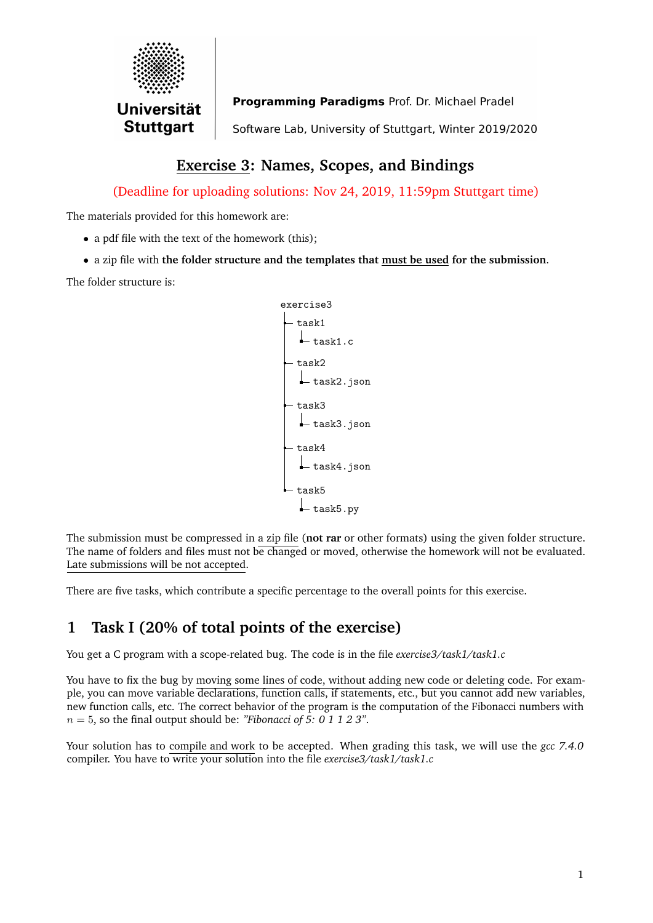

Programming Paradigms Prof. Dr. Michael Pradel Software Lab, University of Stuttgart, Winter 2019/2020

# **Exercise 3: Names, Scopes, and Bindings**

(Deadline for uploading solutions: Nov 24, 2019, 11:59pm Stuttgart time)

The materials provided for this homework are:

- a pdf file with the text of the homework (this):
- a zip file with **the folder structure and the templates that must be used for the submission**.

The folder structure is:



The submission must be compressed in a zip file (**not rar** or other formats) using the given folder structure. The name of folders and files must not be changed or moved, otherwise the homework will not be evaluated. Late submissions will be not accepted.

There are five tasks, which contribute a specific percentage to the overall points for this exercise.

# **1 Task I (20% of total points of the exercise)**

You get a C program with a scope-related bug. The code is in the file *exercise3/task1/task1.c*

You have to fix the bug by moving some lines of code, without adding new code or deleting code. For example, you can move variable declarations, function calls, if statements, etc., but you cannot add new variables, new function calls, etc. The correct behavior of the program is the computation of the Fibonacci numbers with n = 5, so the final output should be: *"Fibonacci of 5: 0 1 1 2 3"*.

Your solution has to compile and work to be accepted. When grading this task, we will use the *gcc 7.4.0* compiler. You have to write your solution into the file *exercise3/task1/task1.c*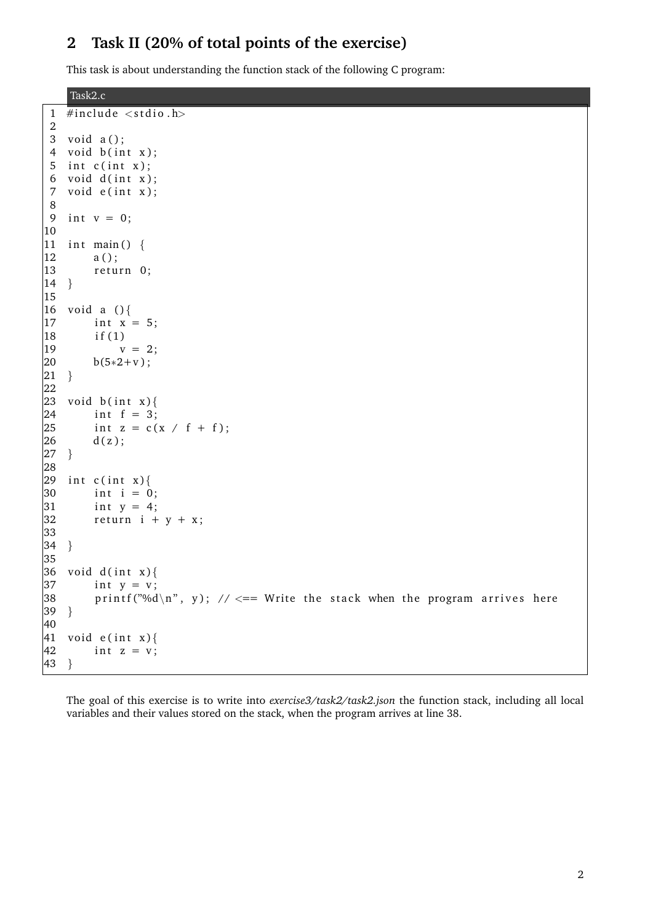### **2 Task II (20% of total points of the exercise)**

This task is about understanding the function stack of the following C program:

Task2.c

```
1 #include \langlestdio.h>
 2
 3 void a();
 4 void b(int x);5 int c(int x);
 6 void d(int x);7 void e(int x);8
 9 int v = 0;
|10|11 int main() {
|12 \t a();|13 return 0;
|14 \rangle15
|16 \tvol a () {
|17 \quad \text{int } x = 5;18 i f (1)
|19 \t v = 2;|20 \t\t\t b(5*2+v);
|21 \quad \}22
|23 \text{ void } b(int x)|24 int f = 3;
25 int z = c(x / f + f);<br>26 d(z);
         d(z);
|27 \quad \}28
|29 int c(int x){
|30 \rangle int i = 0;
|31 \quad \text{int } y = 4;|32 return i + y + x;
33
|34 \rangle35
|36 \text{ void } d(int x)||37 int y = v;
|38 printf ("%d\n", y); // <== Write the stack when the program arrives here
|39 \rangle40
|41 \tvol de (int x) {
\begin{cases} 42 & \text{int } z = v; \end{cases}|43 \rangle
```
The goal of this exercise is to write into *exercise3/task2/task2.json* the function stack, including all local variables and their values stored on the stack, when the program arrives at line 38.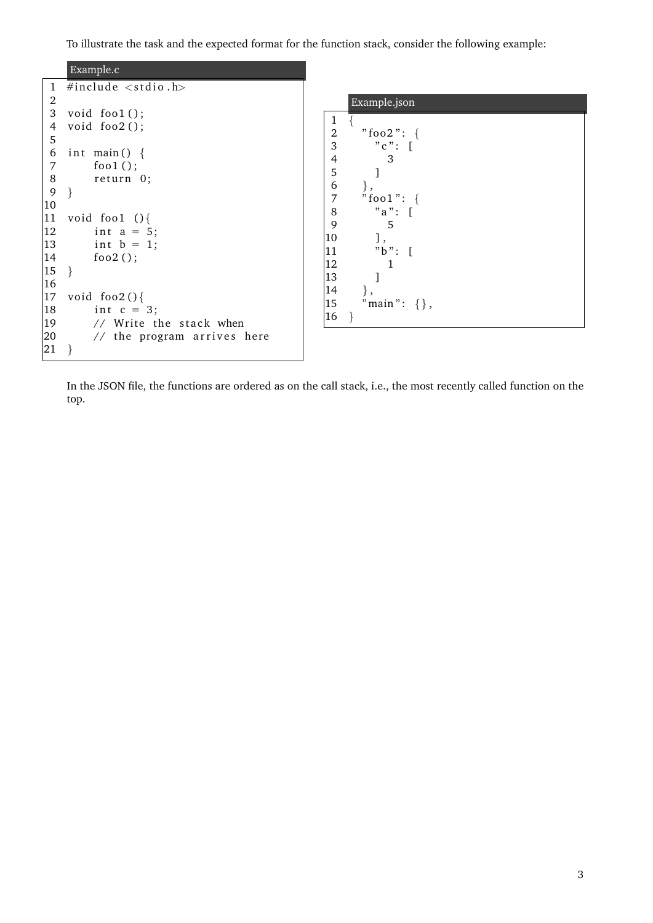To illustrate the task and the expected format for the function stack, consider the following example:



In the JSON file, the functions are ordered as on the call stack, i.e., the most recently called function on the top.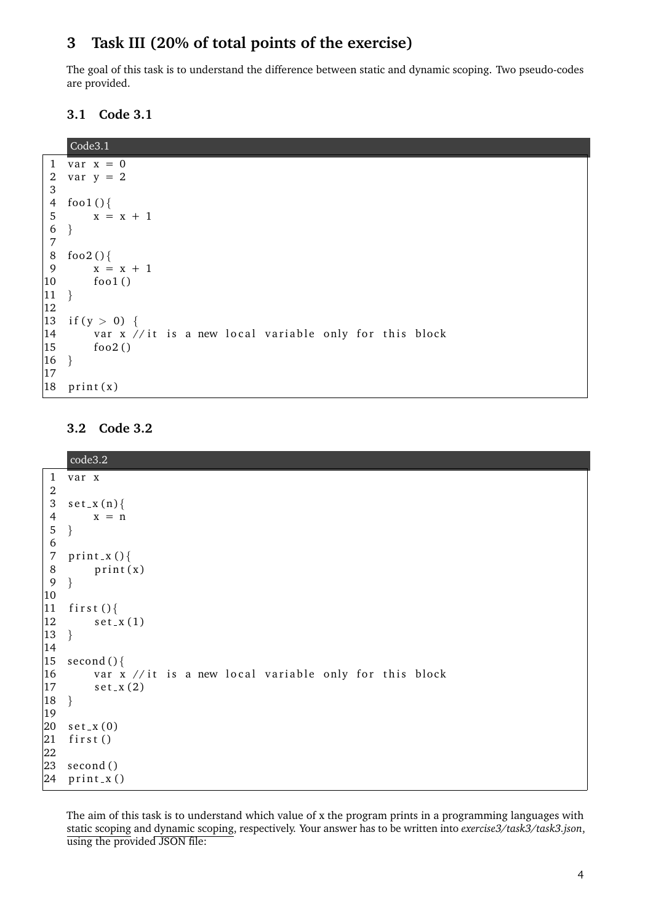### **3 Task III (20% of total points of the exercise)**

The goal of this task is to understand the difference between static and dynamic scoping. Two pseudo-codes are provided.

**3.1 Code 3.1**

```
Code3.1
 1 var x = 02 var y = 23
 4 foo1()5 x = x + 16 }
 7
 8 foo2()\begin{cases} 9 & x = x + 1 \\ 10 & \text{fool}(1) \end{cases}foo1()|11 \rangle12
|13 \text{ if } (y > 0) |\frac{1}{4} var x // it is a new local variable only for this block
\begin{vmatrix} 15 & \text{f} & 6 & 0 & 2 \end{vmatrix}\begin{array}{c} 16 \end{array}17
\begin{vmatrix} 18 & \text{print(x)} \end{vmatrix}
```
### **3.2 Code 3.2**

|                    | code3.2                                                              |  |
|--------------------|----------------------------------------------------------------------|--|
| $\mathbf{1}$       | var x                                                                |  |
| $\boldsymbol{2}$   |                                                                      |  |
| $\sqrt{3}$         | $set_x(n)$                                                           |  |
| 4                  | $x = n$                                                              |  |
| $\sqrt{5}$         | $\}$                                                                 |  |
| 6                  |                                                                      |  |
| 7                  | $print_x()$                                                          |  |
| $8\phantom{1}$     | print(x)                                                             |  |
| $\overline{9}$     | $\}$                                                                 |  |
| $ 10\rangle$       |                                                                      |  |
| 11                 | first $()$ {                                                         |  |
| $ 12\rangle$       | $set_x(1)$                                                           |  |
| $ 13\rangle$       | $\}$                                                                 |  |
| 14                 |                                                                      |  |
| $ 15\rangle$       | second $()$ {                                                        |  |
| 16<br>$ 17\rangle$ | var x //it is a new local variable only for this block<br>$set_x(2)$ |  |
| 18                 | $\}$                                                                 |  |
| $ 19\rangle$       |                                                                      |  |
| 20                 | $set_x(0)$                                                           |  |
| 21                 | first()                                                              |  |
| 22                 |                                                                      |  |
| 23                 | second()                                                             |  |
|                    | $24$ print_x()                                                       |  |

The aim of this task is to understand which value of x the program prints in a programming languages with static scoping and dynamic scoping, respectively. Your answer has to be written into *exercise3/task3/task3.json*, using the provided JSON file: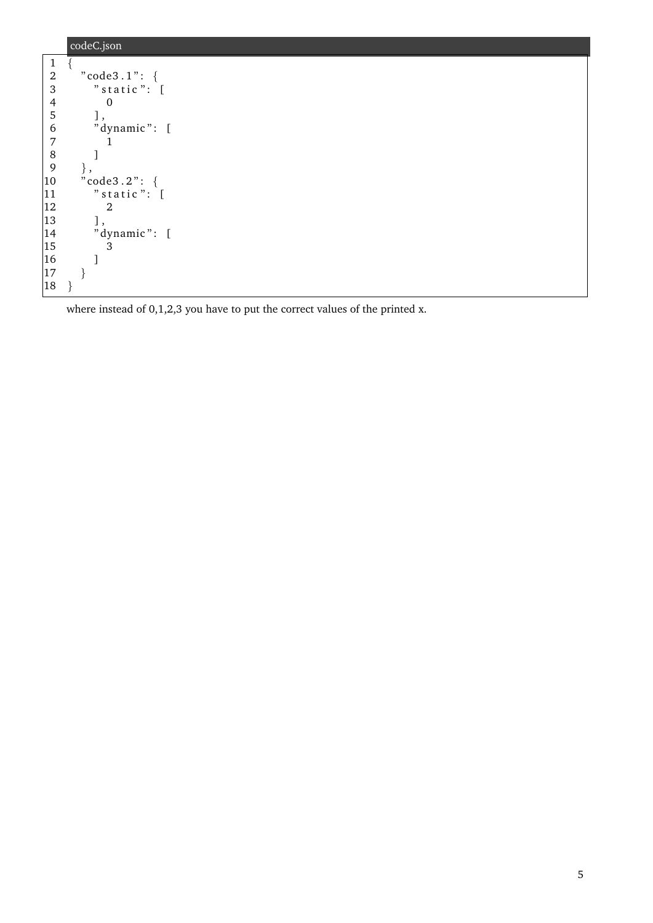|                  | codeC.json       |
|------------------|------------------|
| $\mathbf{1}$     |                  |
| $\boldsymbol{2}$ | "code3.1": $\{$  |
| 3                | " $static$ ": [  |
| $\overline{4}$   | $\Omega$         |
| 5                | ],               |
| 6                | "dynamic": [     |
| 7                |                  |
| 8                |                  |
| $\overline{9}$   |                  |
| $ 10\rangle$     | " $code3.2"$ : { |
| 11               | " $static$ ": [  |
| $ 12\rangle$     | 2                |
| $ 13\rangle$     | ],               |
| 14               | "dynamic": [     |
| $ 15\rangle$     | 3                |
| 16               |                  |
| 17               |                  |
| 18               |                  |

where instead of 0,1,2,3 you have to put the correct values of the printed x.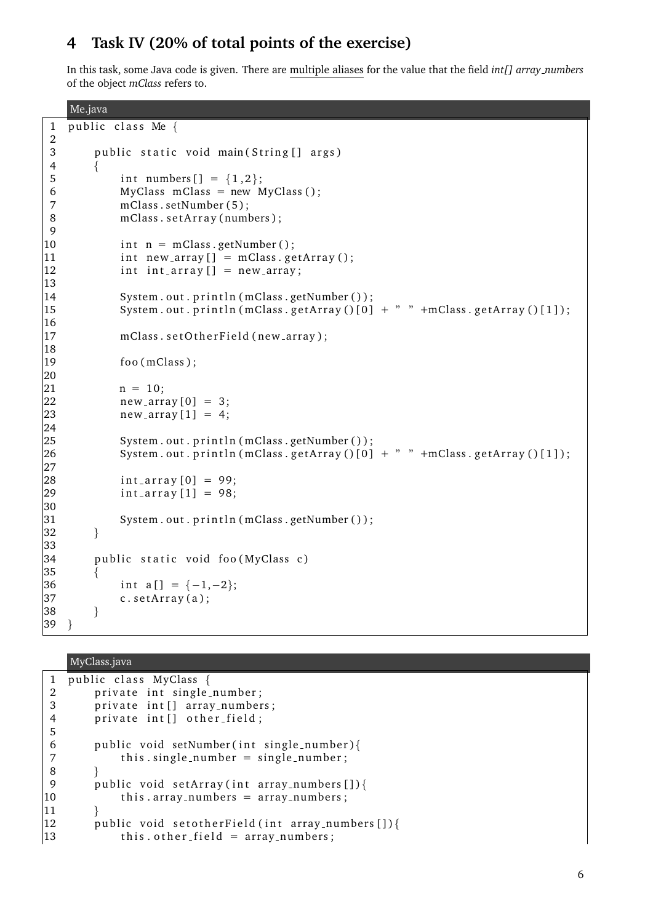## **4 Task IV (20% of total points of the exercise)**

In this task, some Java code is given. There are multiple aliases for the value that the field *int[] array numbers* of the object *mClass* refers to.

```
Me.java
 1 public class Me \{2
 3 public static void main (String [] args)
 4 {
 5 int numbers [ ] = {1,2};6 MyClass mClass = new MyClass ();
 7 mClass . setNumber (5);
 8 mClass . setArray (numbers);
9
10 int n = mClass .getNumber();
11 int new_array [] = mClass.getArray();12 int int_array [] = new_array;
13
|14 System . out . println (mClass . getNumber ());
\vert15 System . out . println (mClass . getArray () \vert 0 \vert + " " +mClass . getArray () \vert 1 \vert);
16
|17 mClass . set O ther Field (new _array);
18
19 foo (mClass);
20
|21 \qquad n = 10;|22 \t new_{-}array[0] = 3;|23 new array [1] = 4;
|24\rangle|25 System . out . println (mClass . getNumber ());
|26 System . out . println (mClass . getArray (|01 + " " + mClass . getArray (|11);
27
|28 int_array [0] = 99;
|29 int_array [1] = 98;30
31 System . out . println (mClass . getNumber ());
|32 \rangle33
|34 public static void foo (MyClass c)
35 \qquad \{|36 \quad \text{int } a \text{ [ } ] = \{-1,-2\};|37 \t\t c. setArray(a);|38 \rangle|39 \rangle
```
#### MyClass.java

```
1 public class MyClass {
2 private int single_number;
3 private int [] array_numbers;
4 private int [] other_field;
5
6 public void setNumber (int single_number) {
7 this single_number = single_number;
8 }
9 public void setArray(int array_numbers[]){
10 this . array_numbers = array_numbers;
|1112 public void setother Field (int array numbers []) {
|13 \t\t this. other-field = array_number;
```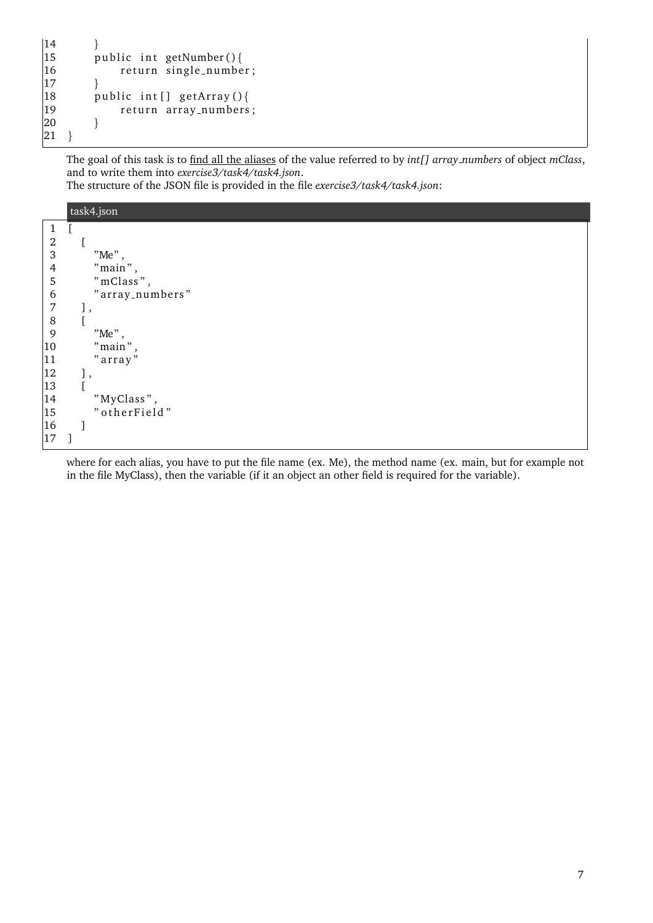```
\begin{array}{ccc} 14 & & & \end{array}<br>15 p
\begin{cases} 15 & \text{public int getNumber()} \{ 16 & \text{return single_number} \end{cases}return single_number;
\begin{array}{ccc} 17 & & \rightarrow \\ 18 & & \text{p} \end{array}\begin{cases} 18 & \text{public int } [] \text{ getArray()} \{ \\ 19 & \text{return array_numbers} \end{cases}return array_numbers;
\begin{array}{ccc} 20 & & \end{array}|21 \rangle
```
The goal of this task is to find all the aliases of the value referred to by *int[] array numbers* of object *mClass*, and to write them into *exercise3/task4/task4.json*.

The structure of the JSON file is provided in the file *exercise3/task4/task4.json*:

|                                                 | task4.json      |
|-------------------------------------------------|-----------------|
| $\mathbf{1}$                                    | L               |
|                                                 | L               |
| $\begin{array}{c} 2 \\ 3 \\ 4 \\ 5 \end{array}$ | "Me",           |
|                                                 | $"$ main $"$ ,  |
|                                                 | "mClass",       |
| $\begin{array}{c} 6 \\ 7 \\ 8 \end{array}$      | "array_numbers" |
|                                                 | 」,              |
|                                                 | ſ               |
| $\overline{9}$                                  | $"$ Me $"$ ,    |
| 10                                              | $"$ main $"$ ,  |
| 11                                              | "array"         |
| 12                                              | J,              |
| 13                                              | Г               |
| 14                                              | "MyClass",      |
| 15                                              | "otherField"    |
| 16                                              |                 |
| 17                                              |                 |

where for each alias, you have to put the file name (ex. Me), the method name (ex. main, but for example not in the file MyClass), then the variable (if it an object an other field is required for the variable).